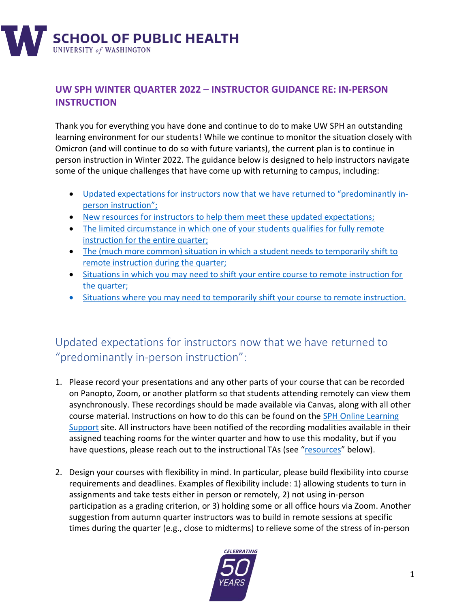

#### **UW SPH WINTER QUARTER 2022 – INSTRUCTOR GUIDANCE RE: IN-PERSON INSTRUCTION**

Thank you for everything you have done and continue to do to make UW SPH an outstanding learning environment for our students! While we continue to monitor the situation closely with Omicron (and will continue to do so with future variants), the current plan is to continue in person instruction in Winter 2022. The guidance below is designed to help instructors navigate some of the unique challenges that have come up with returning to campus, including:

- Updated expectations for instructors [now that we have returned to "predominantly](#page-0-0) inperson [instruction](#page-0-0)";
- [New resources for instructors to help them meet these updated](#page-2-0) expectations;
- [The limited circumstance in which one of your students qualifies for fully remote](#page-2-1)  [instruction for the entire quarter;](#page-2-1)
- [The \(much more common\) situation in which a](#page-3-0) student needs to temporarily shift to [remote instruction during the quarter;](#page-3-0)
- [Situations in which you may need to shift your entire course to remote instruction for](#page-4-0)  [the quarter;](#page-4-0)
- [Situations where you may need to temporarily shift your course](#page-5-0) to remote instruction.

# <span id="page-0-0"></span>Updated expectations for instructors now that we have returned to "predominantly in-person instruction":

- 1. Please record your presentations and any other parts of your course that can be recorded on Panopto, Zoom, or another platform so that students attending remotely can view them asynchronously. These recordings should be made available via Canvas, along with all other course material. Instructions on how to do this can be found on the [SPH Online Learning](https://canvas.uw.edu/courses/1393931)  [Support](https://canvas.uw.edu/courses/1393931) site. All instructors have been notified of the recording modalities available in their assigned teaching rooms for the winter quarter and how to use this modality, but if you have questions, please reach out to the instructional TAs (see "[resources](#page-2-0)" below).
- 2. Design your courses with flexibility in mind. In particular, please build flexibility into course requirements and deadlines. Examples of flexibility include: 1) allowing students to turn in assignments and take tests either in person or remotely, 2) not using in-person participation as a grading criterion, or 3) holding some or all office hours via Zoom. Another suggestion from autumn quarter instructors was to build in remote sessions at specific times during the quarter (e.g., close to midterms) to relieve some of the stress of in-person

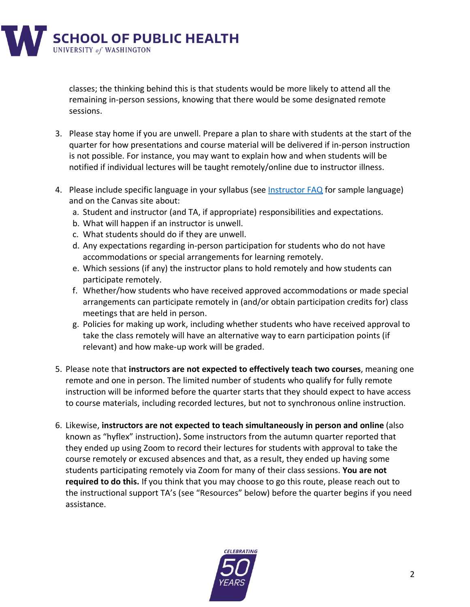**SCHOOL OF PUBLIC HEALTH**<br>UNIVERSITY of WASHINGTON

classes; the thinking behind this is that students would be more likely to attend all the remaining in-person sessions, knowing that there would be some designated remote sessions.

- 3. Please stay home if you are unwell. Prepare a plan to share with students at the start of the quarter for how presentations and course material will be delivered if in-person instruction is not possible. For instance, you may want to explain how and when students will be notified if individual lectures will be taught remotely/online due to instructor illness.
- 4. Please include specific language in your syllabus (see [Instructor FAQ](https://sph.washington.edu/sites/default/files/2021-12/UWSPH_WIN22_FINAL_Faculty_and_Instructor_FAQs_0.pdf) for sample language) and on the Canvas site about:
	- a. Student and instructor (and TA, if appropriate) responsibilities and expectations.
	- b. What will happen if an instructor is unwell.
	- c. What students should do if they are unwell.
	- d. Any expectations regarding in-person participation for students who do not have accommodations or special arrangements for learning remotely.
	- e. Which sessions (if any) the instructor plans to hold remotely and how students can participate remotely.
	- f. Whether/how students who have received approved accommodations or made special arrangements can participate remotely in (and/or obtain participation credits for) class meetings that are held in person.
	- g. Policies for making up work, including whether students who have received approval to take the class remotely will have an alternative way to earn participation points (if relevant) and how make-up work will be graded.
- 5. Please note that **instructors are not expected to effectively teach two courses**, meaning one remote and one in person. The limited number of students who qualify for fully remote instruction will be informed before the quarter starts that they should expect to have access to course materials, including recorded lectures, but not to synchronous online instruction.
- 6. Likewise, **instructors are not expected to teach simultaneously in person and online** (also known as "hyflex" instruction)**.** Some instructors from the autumn quarter reported that they ended up using Zoom to record their lectures for students with approval to take the course remotely or excused absences and that, as a result, they ended up having some students participating remotely via Zoom for many of their class sessions. **You are not required to do this.** If you think that you may choose to go this route, please reach out to the instructional support TA's (see "Resources" below) before the quarter begins if you need assistance.

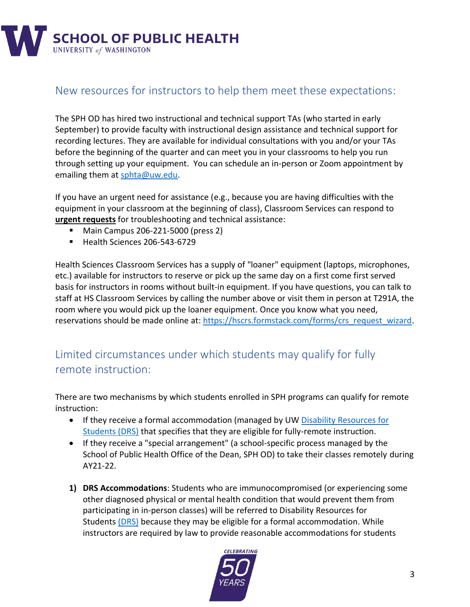

#### <span id="page-2-0"></span>New resources for instructors to help them meet these expectations:

The SPH OD has hired two instructional and technical support TAs (who started in early September) to provide faculty with instructional design assistance and technical support for recording lectures. They are available for individual consultations with you and/or your TAs before the beginning of the quarter and can meet you in your classrooms to help you run through setting up your equipment. You can schedule an in-person or Zoom appointment by emailing them at [sphta@uw.edu.](mailto:sphta@uw.edu)

If you have an urgent need for assistance (e.g., because you are having difficulties with the equipment in your classroom at the beginning of class), Classroom Services can respond to **urgent requests** for troubleshooting and technical assistance:

- Main Campus 206-221-5000 (press 2)
- Health Sciences 206-543-6729

Health Sciences Classroom Services has a supply of "loaner" equipment (laptops, microphones, etc.) available for instructors to reserve or pick up the same day on a first come first served basis for instructors in rooms without built-in equipment. If you have questions, you can talk to staff at HS Classroom Services by calling the number above or visit them in person at T291A, the room where you would pick up the loaner equipment. Once you know what you need, reservations should be made online at: [https://hscrs.formstack.com/forms/crs\\_request\\_wizard.](https://hscrs.formstack.com/forms/crs_request_wizard)

### <span id="page-2-1"></span>Limited circumstances under which students may qualify for fully remote instruction:

There are two mechanisms by which students enrolled in SPH programs can qualify for remote instruction:

- If they receive a formal accommodation (managed by UW [Disability Resources for](https://depts.washington.edu/uwdrs/)  [Students \(DRS\)](https://depts.washington.edu/uwdrs/) that specifies that they are eligible for fully-remote instruction.
- If they receive a "special arrangement" (a school-specific process managed by the School of Public Health Office of the Dean, SPH OD) to take their classes remotely during AY21-22.
- **1) DRS Accommodations**: Students who are immunocompromised (or experiencing some other diagnosed physical or mental health condition that would prevent them from participating in in-person classes) will be referred to [Disability Resources for](https://depts.washington.edu/uwdrs/) [Students](https://depts.washington.edu/uwdrs/) (DRS) because they may be eligible for a formal accommodation. While instructors are required by law to provide reasonable accommodations for students

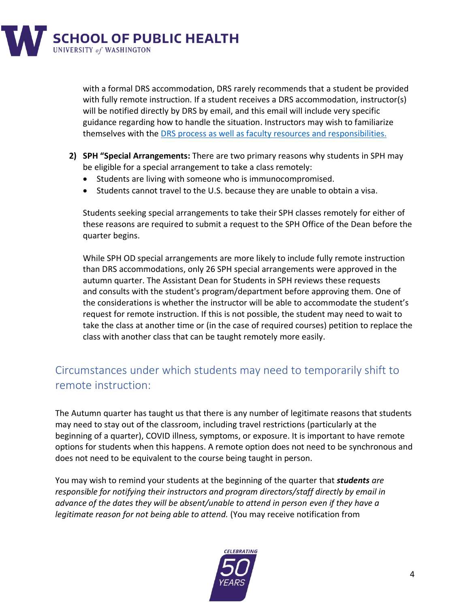

with a formal DRS accommodation, DRS rarely recommends that a student be provided with fully remote instruction. If a student receives a DRS accommodation, instructor(s) will be notified directly by DRS by email, and this email will include very specific guidance regarding how to handle the situation. Instructors may wish to familiarize themselves with the DRS process as well as faculty resources and [responsibilities.](https://depts.washington.edu/uwdrs/)

- **2) SPH "Special Arrangements:** There are two primary reasons why students in SPH may be eligible for a special arrangement to take a class remotely:
	- Students are living with someone who is immunocompromised.
	- Students cannot travel to the U.S. because they are unable to obtain a visa.

Students seeking special arrangements to take their SPH classes remotely for either of these reasons are required to submit a request to the SPH Office of the Dean before the quarter begins.

While SPH OD special arrangements are more likely to include fully remote instruction than DRS accommodations, only 26 SPH special arrangements were approved in the autumn quarter. The Assistant Dean for Students in SPH reviews these requests and consults with the student's program/department before approving them. One of the considerations is whether the instructor will be able to accommodate the student's request for remote instruction. If this is not possible, the student may need to wait to take the class at another time or (in the case of required courses) petition to replace the class with another class that can be taught remotely more easily.

# <span id="page-3-0"></span>Circumstances under which students may need to temporarily shift to remote instruction:

The Autumn quarter has taught us that there is any number of legitimate reasons that students may need to stay out of the classroom, including travel restrictions (particularly at the beginning of a quarter), COVID illness, symptoms, or exposure. It is important to have remote options for students when this happens. A remote option does not need to be synchronous and does not need to be equivalent to the course being taught in person.

You may wish to remind your students at the beginning of the quarter that *students are responsible for notifying their instructors and program directors/staff directly by email in advance of the dates they will be absent/unable to attend in person even if they have a legitimate reason for not being able to attend.* (You may receive notification from

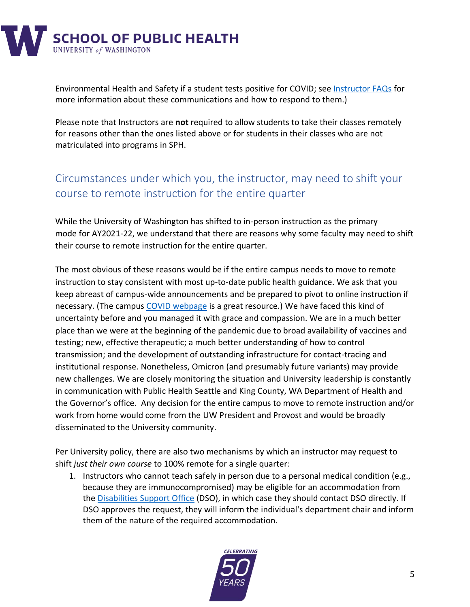

Environmental Health and Safety if a student tests positive for COVID; see [Instructor FAQs](https://sph.washington.edu/sites/default/files/2021-12/UWSPH_WIN22_FINAL_Faculty_and_Instructor_FAQs_0.pdf) for more information about these communications and how to respond to them.)

Please note that Instructors are **not** required to allow students to take their classes remotely for reasons other than the ones listed above or for students in their classes who are not matriculated into programs in SPH.

## <span id="page-4-0"></span>Circumstances under which you, the instructor, may need to shift your course to remote instruction for the entire quarter

While the University of Washington has shifted to in-person instruction as the primary mode for AY2021-22, we understand that there are reasons why some faculty may need to shift their course to remote instruction for the entire quarter.

The most obvious of these reasons would be if the entire campus needs to move to remote instruction to stay consistent with most up-to-date public health guidance. We ask that you keep abreast of campus-wide announcements and be prepared to pivot to online instruction if necessary. (The campus [COVID webpage](https://www.washington.edu/coronavirus/) is a great resource.) We have faced this kind of uncertainty before and you managed it with grace and compassion. We are in a much better place than we were at the beginning of the pandemic due to broad availability of vaccines and testing; new, effective therapeutic; a much better understanding of how to control transmission; and the development of outstanding infrastructure for contact-tracing and institutional response. Nonetheless, Omicron (and presumably future variants) may provide new challenges. We are closely monitoring the situation and University leadership is constantly in communication with Public Health Seattle and King County, WA Department of Health and the Governor's office. Any decision for the entire campus to move to remote instruction and/or work from home would come from the UW President and Provost and would be broadly disseminated to the University community.

Per University policy, there are also two mechanisms by which an instructor may request to shift *just their own course* to 100% remote for a single quarter:

1. Instructors who cannot teach safely in person due to a personal medical condition (e.g., because they are immunocompromised) may be eligible for an accommodation from the [Disabilities Support Office](https://hr.uw.edu/dso/services/services-for-faculty-and-staff/) (DSO), in which case they should contact DSO directly. If DSO approves the request, they will inform the individual's department chair and inform them of the nature of the required accommodation.